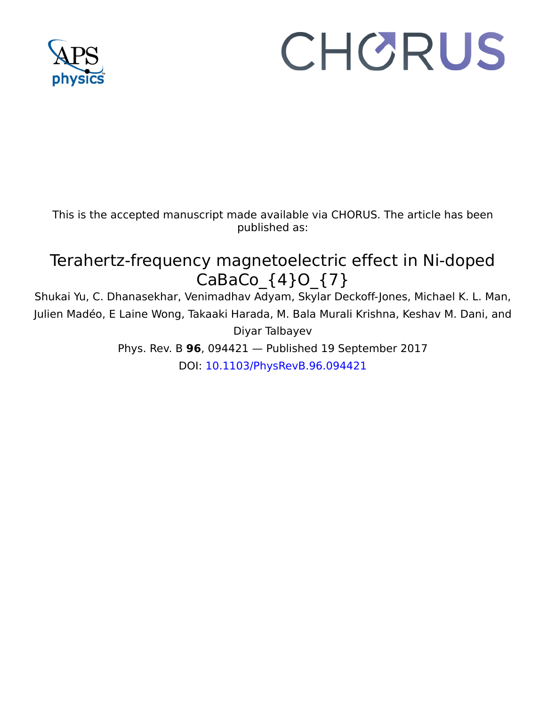

# CHORUS

This is the accepted manuscript made available via CHORUS. The article has been published as:

## Terahertz-frequency magnetoelectric effect in Ni-doped CaBaCo\_{4}O\_{7}

Shukai Yu, C. Dhanasekhar, Venimadhav Adyam, Skylar Deckoff-Jones, Michael K. L. Man, Julien Madéo, E Laine Wong, Takaaki Harada, M. Bala Murali Krishna, Keshav M. Dani, and Diyar Talbayev

Phys. Rev. B **96**, 094421 — Published 19 September 2017 DOI: 10.1103/PhysRevB.96.094421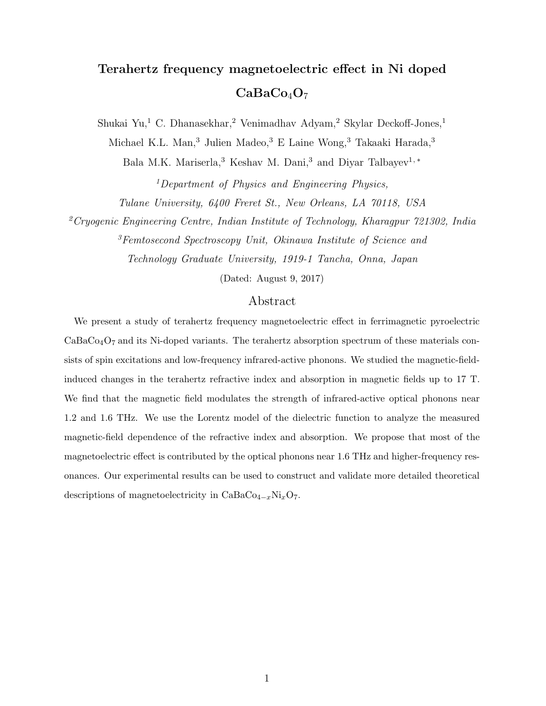### Terahertz frequency magnetoelectric effect in Ni doped  $CaBaCo<sub>4</sub>O<sub>7</sub>$

Shukai Yu,<sup>1</sup> C. Dhanasekhar,<sup>2</sup> Venimadhav Adyam,<sup>2</sup> Skylar Deckoff-Jones,<sup>1</sup>

Michael K.L. Man,<sup>3</sup> Julien Madeo,<sup>3</sup> E Laine Wong,<sup>3</sup> Takaaki Harada,<sup>3</sup>

Bala M.K. Mariserla,<sup>3</sup> Keshav M. Dani,<sup>3</sup> and Diyar Talbayev<sup>1,\*</sup>

<sup>1</sup>Department of Physics and Engineering Physics, Tulane University, 6400 Freret St., New Orleans, LA 70118, USA

<sup>2</sup>Cryogenic Engineering Centre, Indian Institute of Technology, Kharagpur 721302, India

<sup>3</sup>Femtosecond Spectroscopy Unit, Okinawa Institute of Science and

Technology Graduate University, 1919-1 Tancha, Onna, Japan

(Dated: August 9, 2017)

#### Abstract

We present a study of terahertz frequency magnetoelectric effect in ferrimagnetic pyroelectric  $CaBaCo<sub>4</sub>O<sub>7</sub>$  and its Ni-doped variants. The terahertz absorption spectrum of these materials consists of spin excitations and low-frequency infrared-active phonons. We studied the magnetic-fieldinduced changes in the terahertz refractive index and absorption in magnetic fields up to 17 T. We find that the magnetic field modulates the strength of infrared-active optical phonons near 1.2 and 1.6 THz. We use the Lorentz model of the dielectric function to analyze the measured magnetic-field dependence of the refractive index and absorption. We propose that most of the magnetoelectric effect is contributed by the optical phonons near 1.6 THz and higher-frequency resonances. Our experimental results can be used to construct and validate more detailed theoretical descriptions of magnetoelectricity in  $CaBaCo_{4-x}Ni_{x}O_{7}$ .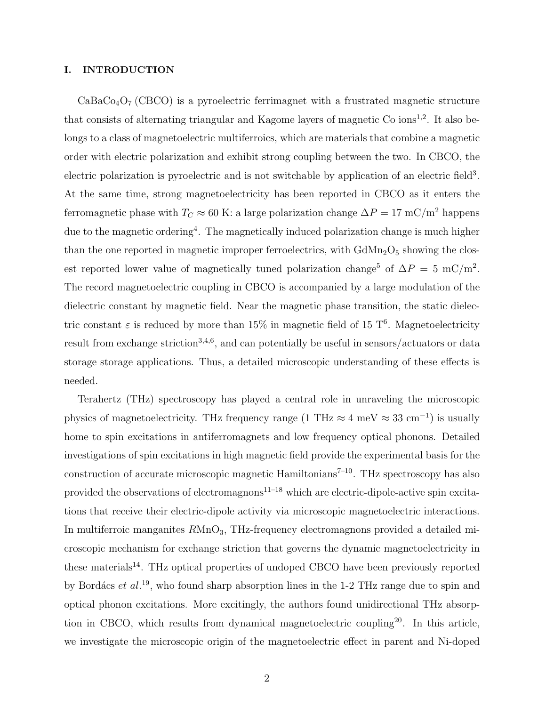#### I. INTRODUCTION

 $CaBaCo<sub>4</sub>O<sub>7</sub> (CBCO)$  is a pyroelectric ferrimagnet with a frustrated magnetic structure that consists of alternating triangular and Kagome layers of magnetic Co ions<sup>1,2</sup>. It also belongs to a class of magnetoelectric multiferroics, which are materials that combine a magnetic order with electric polarization and exhibit strong coupling between the two. In CBCO, the electric polarization is pyroelectric and is not switchable by application of an electric field<sup>3</sup>. At the same time, strong magnetoelectricity has been reported in CBCO as it enters the ferromagnetic phase with  $T_C \approx 60$  K: a large polarization change  $\Delta P = 17$  mC/m<sup>2</sup> happens due to the magnetic ordering<sup>4</sup>. The magnetically induced polarization change is much higher than the one reported in magnetic improper ferroelectrics, with  $GdMn<sub>2</sub>O<sub>5</sub>$  showing the closest reported lower value of magnetically tuned polarization change<sup>5</sup> of  $\Delta P = 5$  mC/m<sup>2</sup>. The record magnetoelectric coupling in CBCO is accompanied by a large modulation of the dielectric constant by magnetic field. Near the magnetic phase transition, the static dielectric constant  $\varepsilon$  is reduced by more than 15% in magnetic field of 15 T<sup>6</sup>. Magnetoelectricity result from exchange striction<sup>3,4,6</sup>, and can potentially be useful in sensors/actuators or data storage storage applications. Thus, a detailed microscopic understanding of these effects is needed.

Terahertz (THz) spectroscopy has played a central role in unraveling the microscopic physics of magnetoelectricity. THz frequency range (1 THz  $\approx 4 \text{ meV} \approx 33 \text{ cm}^{-1}$ ) is usually home to spin excitations in antiferromagnets and low frequency optical phonons. Detailed investigations of spin excitations in high magnetic field provide the experimental basis for the construction of accurate microscopic magnetic Hamiltonians<sup> $7-10$ </sup>. THz spectroscopy has also provided the observations of electromagnons $11-18$  which are electric-dipole-active spin excitations that receive their electric-dipole activity via microscopic magnetoelectric interactions. In multiferroic manganites  $R\text{MnO}_3$ , THz-frequency electromagnons provided a detailed microscopic mechanism for exchange striction that governs the dynamic magnetoelectricity in these materials<sup>14</sup>. THz optical properties of undoped CBCO have been previously reported by Bordács et  $al.^{19}$ , who found sharp absorption lines in the 1-2 THz range due to spin and optical phonon excitations. More excitingly, the authors found unidirectional THz absorption in CBCO, which results from dynamical magnetoelectric coupling<sup>20</sup>. In this article, we investigate the microscopic origin of the magnetoelectric effect in parent and Ni-doped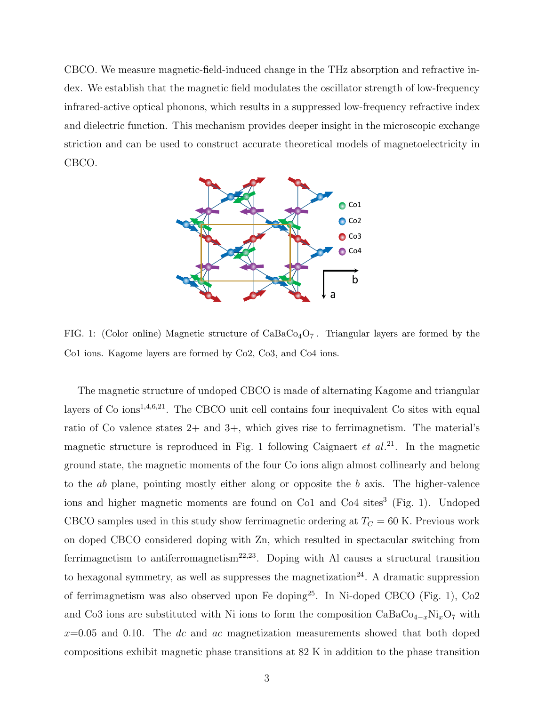CBCO. We measure magnetic-field-induced change in the THz absorption and refractive index. We establish that the magnetic field modulates the oscillator strength of low-frequency infrared-active optical phonons, which results in a suppressed low-frequency refractive index and dielectric function. This mechanism provides deeper insight in the microscopic exchange striction and can be used to construct accurate theoretical models of magnetoelectricity in CBCO.



FIG. 1: (Color online) Magnetic structure of  $CaBaCo<sub>4</sub>O<sub>7</sub>$ . Triangular layers are formed by the Co1 ions. Kagome layers are formed by Co2, Co3, and Co4 ions.

The magnetic structure of undoped CBCO is made of alternating Kagome and triangular layers of  $Co$  ions<sup>1,4,6,21</sup>. The CBCO unit cell contains four inequivalent  $Co$  sites with equal ratio of Co valence states 2+ and 3+, which gives rise to ferrimagnetism. The material's magnetic structure is reproduced in Fig. 1 following Caignaert  $et al.^{21}$ . In the magnetic ground state, the magnetic moments of the four Co ions align almost collinearly and belong to the ab plane, pointing mostly either along or opposite the b axis. The higher-valence ions and higher magnetic moments are found on Co1 and Co4 sites<sup>3</sup> (Fig. 1). Undoped CBCO samples used in this study show ferrimagnetic ordering at  $T_C = 60$  K. Previous work on doped CBCO considered doping with Zn, which resulted in spectacular switching from ferrimagnetism to antiferromagnetism<sup>22,23</sup>. Doping with Al causes a structural transition to hexagonal symmetry, as well as suppresses the magnetization<sup>24</sup>. A dramatic suppression of ferrimagnetism was also observed upon Fe doping<sup>25</sup>. In Ni-doped CBCO (Fig. 1),  $Co2$ and Co3 ions are substituted with Ni ions to form the composition  $CaBaCo_{4-x}Ni_xO_7$  with  $x=0.05$  and 0.10. The dc and ac magnetization measurements showed that both doped compositions exhibit magnetic phase transitions at 82 K in addition to the phase transition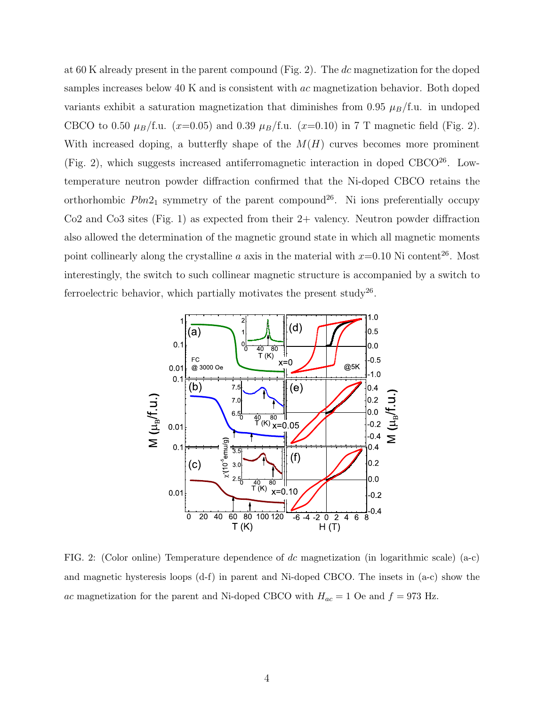at 60 K already present in the parent compound (Fig. 2). The dc magnetization for the doped samples increases below 40 K and is consistent with ac magnetization behavior. Both doped variants exhibit a saturation magnetization that diminishes from 0.95  $\mu_B/f.u.$  in undoped CBCO to 0.50  $\mu_B$ /f.u. (x=0.05) and 0.39  $\mu_B$ /f.u. (x=0.10) in 7 T magnetic field (Fig. 2). With increased doping, a butterfly shape of the  $M(H)$  curves becomes more prominent (Fig. 2), which suggests increased antiferromagnetic interaction in doped  $CBCO<sup>26</sup>$ . Lowtemperature neutron powder diffraction confirmed that the Ni-doped CBCO retains the orthorhombic  $Pbn2_1$  symmetry of the parent compound<sup>26</sup>. Ni ions preferentially occupy  $Co2$  and  $Co3$  sites (Fig. 1) as expected from their  $2+$  valency. Neutron powder diffraction also allowed the determination of the magnetic ground state in which all magnetic moments point collinearly along the crystalline a axis in the material with  $x=0.10$  Ni content<sup>26</sup>. Most interestingly, the switch to such collinear magnetic structure is accompanied by a switch to ferroelectric behavior, which partially motivates the present study<sup>26</sup>.



FIG. 2: (Color online) Temperature dependence of dc magnetization (in logarithmic scale) (a-c) and magnetic hysteresis loops (d-f) in parent and Ni-doped CBCO. The insets in (a-c) show the ac magnetization for the parent and Ni-doped CBCO with  $H_{ac} = 1$  Oe and  $f = 973$  Hz.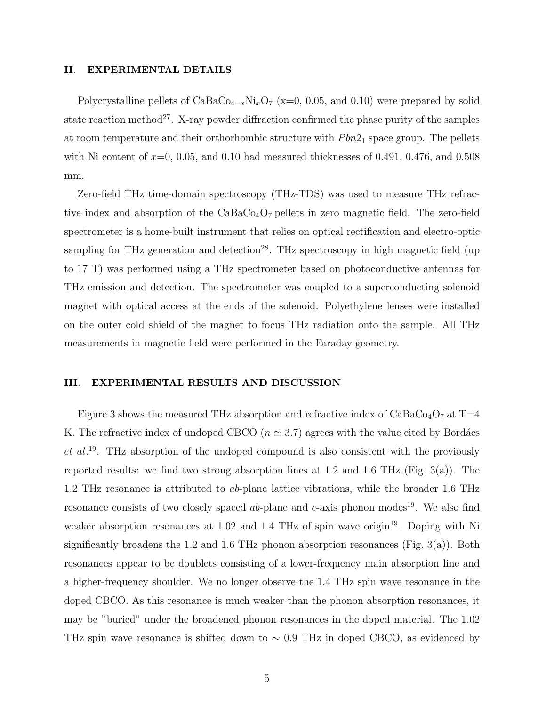#### II. EXPERIMENTAL DETAILS

Polycrystalline pellets of  $CaBaCo_{4-x}Ni_xO_7$  (x=0, 0.05, and 0.10) were prepared by solid state reaction method<sup>27</sup>. X-ray powder diffraction confirmed the phase purity of the samples at room temperature and their orthorhombic structure with  $Pbn2<sub>1</sub>$  space group. The pellets with Ni content of  $x=0$ , 0.05, and 0.10 had measured thicknesses of 0.491, 0.476, and 0.508 mm.

Zero-field THz time-domain spectroscopy (THz-TDS) was used to measure THz refractive index and absorption of the  $CaBaCo<sub>4</sub>O<sub>7</sub>$  pellets in zero magnetic field. The zero-field spectrometer is a home-built instrument that relies on optical rectification and electro-optic sampling for THz generation and detection<sup>28</sup>. THz spectroscopy in high magnetic field (up to 17 T) was performed using a THz spectrometer based on photoconductive antennas for THz emission and detection. The spectrometer was coupled to a superconducting solenoid magnet with optical access at the ends of the solenoid. Polyethylene lenses were installed on the outer cold shield of the magnet to focus THz radiation onto the sample. All THz measurements in magnetic field were performed in the Faraday geometry.

#### III. EXPERIMENTAL RESULTS AND DISCUSSION

Figure 3 shows the measured THz absorption and refractive index of  $CaBaCo<sub>4</sub>O<sub>7</sub>$  at T=4 K. The refractive index of undoped CBCO ( $n \approx 3.7$ ) agrees with the value cited by Bordács  $et al.<sup>19</sup>$ . THz absorption of the undoped compound is also consistent with the previously reported results: we find two strong absorption lines at 1.2 and 1.6 THz (Fig. 3(a)). The 1.2 THz resonance is attributed to ab-plane lattice vibrations, while the broader 1.6 THz resonance consists of two closely spaced  $ab$ -plane and  $c$ -axis phonon modes<sup>19</sup>. We also find weaker absorption resonances at  $1.02$  and  $1.4$  THz of spin wave origin<sup>19</sup>. Doping with Ni significantly broadens the 1.2 and 1.6 THz phonon absorption resonances (Fig. 3(a)). Both resonances appear to be doublets consisting of a lower-frequency main absorption line and a higher-frequency shoulder. We no longer observe the 1.4 THz spin wave resonance in the doped CBCO. As this resonance is much weaker than the phonon absorption resonances, it may be "buried" under the broadened phonon resonances in the doped material. The 1.02 THz spin wave resonance is shifted down to  $\sim 0.9$  THz in doped CBCO, as evidenced by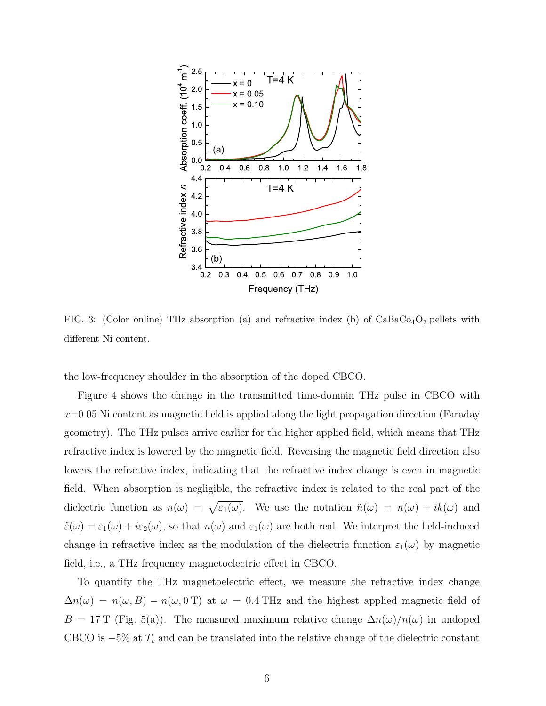

FIG. 3: (Color online) THz absorption (a) and refractive index (b) of  $CaBaCo<sub>4</sub>O<sub>7</sub>$  pellets with different Ni content.

the low-frequency shoulder in the absorption of the doped CBCO.

Figure 4 shows the change in the transmitted time-domain THz pulse in CBCO with  $x=0.05$  Ni content as magnetic field is applied along the light propagation direction (Faraday geometry). The THz pulses arrive earlier for the higher applied field, which means that THz refractive index is lowered by the magnetic field. Reversing the magnetic field direction also lowers the refractive index, indicating that the refractive index change is even in magnetic field. When absorption is negligible, the refractive index is related to the real part of the dielectric function as  $n(\omega) = \sqrt{\varepsilon_1(\omega)}$ . We use the notation  $\tilde{n}(\omega) = n(\omega) + ik(\omega)$  and  $\tilde{\varepsilon}(\omega) = \varepsilon_1(\omega) + i\varepsilon_2(\omega)$ , so that  $n(\omega)$  and  $\varepsilon_1(\omega)$  are both real. We interpret the field-induced change in refractive index as the modulation of the dielectric function  $\varepsilon_1(\omega)$  by magnetic field, i.e., a THz frequency magnetoelectric effect in CBCO.

To quantify the THz magnetoelectric effect, we measure the refractive index change  $\Delta n(\omega) = n(\omega, B) - n(\omega, 0 \text{ T})$  at  $\omega = 0.4 \text{ THz}$  and the highest applied magnetic field of  $B = 17$  T (Fig. 5(a)). The measured maximum relative change  $\Delta n(\omega)/n(\omega)$  in undoped CBCO is  $-5\%$  at  $T_c$  and can be translated into the relative change of the dielectric constant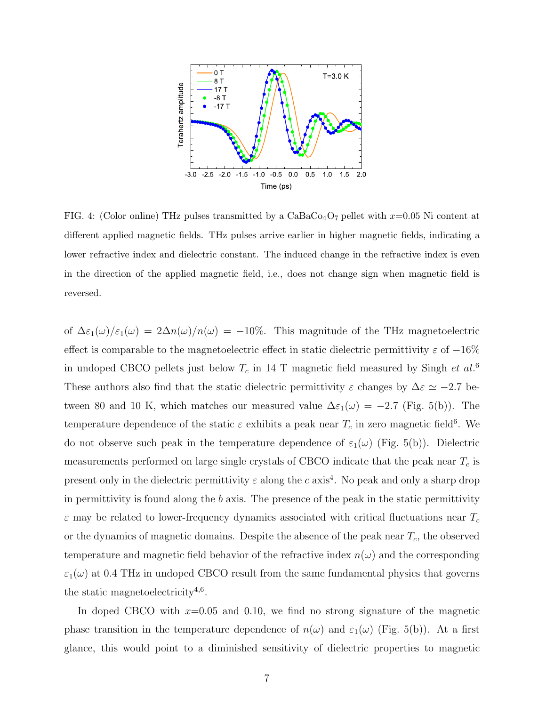

FIG. 4: (Color online) THz pulses transmitted by a  $CaBaCo<sub>4</sub>O<sub>7</sub>$  pellet with  $x=0.05$  Ni content at different applied magnetic fields. THz pulses arrive earlier in higher magnetic fields, indicating a lower refractive index and dielectric constant. The induced change in the refractive index is even in the direction of the applied magnetic field, i.e., does not change sign when magnetic field is reversed.

of  $\Delta \varepsilon_1(\omega)/\varepsilon_1(\omega) = 2\Delta n(\omega)/n(\omega) = -10\%$ . This magnitude of the THz magnetoelectric effect is comparable to the magnetoelectric effect in static dielectric permittivity  $\varepsilon$  of  $-16\%$ in undoped CBCO pellets just below  $T_c$  in 14 T magnetic field measured by Singh *et al.*<sup>6</sup> These authors also find that the static dielectric permittivity  $\varepsilon$  changes by  $\Delta \varepsilon \simeq -2.7$  between 80 and 10 K, which matches our measured value  $\Delta \varepsilon_1(\omega) = -2.7$  (Fig. 5(b)). The temperature dependence of the static  $\varepsilon$  exhibits a peak near  $T_c$  in zero magnetic field<sup>6</sup>. We do not observe such peak in the temperature dependence of  $\varepsilon_1(\omega)$  (Fig. 5(b)). Dielectric measurements performed on large single crystals of CBCO indicate that the peak near  $T_c$  is present only in the dielectric permittivity  $\varepsilon$  along the c axis<sup>4</sup>. No peak and only a sharp drop in permittivity is found along the  $b$  axis. The presence of the peak in the static permittivity  $\varepsilon$  may be related to lower-frequency dynamics associated with critical fluctuations near  $T_c$ or the dynamics of magnetic domains. Despite the absence of the peak near  $T_c$ , the observed temperature and magnetic field behavior of the refractive index  $n(\omega)$  and the corresponding  $\varepsilon_1(\omega)$  at 0.4 THz in undoped CBCO result from the same fundamental physics that governs the static magnetoelectricity<sup>4,6</sup>.

In doped CBCO with  $x=0.05$  and 0.10, we find no strong signature of the magnetic phase transition in the temperature dependence of  $n(\omega)$  and  $\varepsilon_1(\omega)$  (Fig. 5(b)). At a first glance, this would point to a diminished sensitivity of dielectric properties to magnetic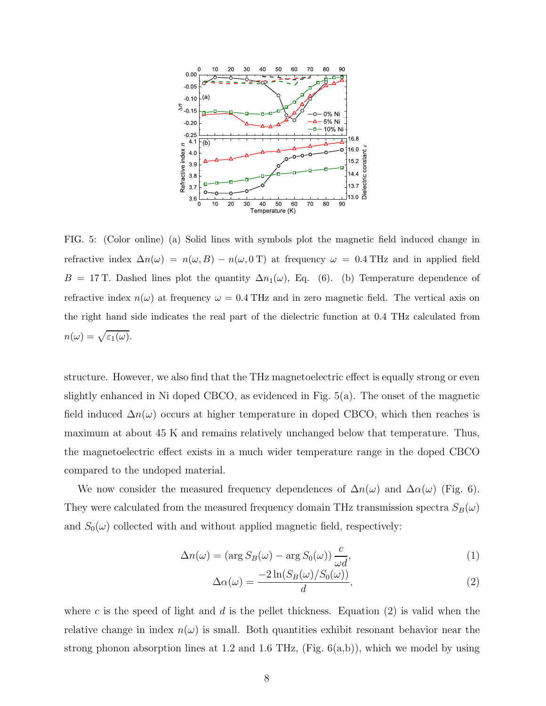

FIG. 5: (Color online) (a) Solid lines with symbols plot the magnetic field induced change in refractive index  $\Delta n(\omega) = n(\omega, B) - n(\omega, 0 \text{ T})$  at frequency  $\omega = 0.4 \text{ THz}$  and in applied field B = 17 T. Dashed lines plot the quantity  $\Delta n_1(\omega)$ , Eq. (6). (b) Temperature dependence of refractive index  $n(\omega)$  at frequency  $\omega = 0.4$  THz and in zero magnetic field. The vertical axis on the right hand side indicates the real part of the dielectric function at 0.4 THz calculated from  $n(\omega) = \sqrt{\varepsilon_1(\omega)}.$ 

structure. However, we also find that the THz magnetoelectric effect is equally strong or even slightly enhanced in Ni doped CBCO, as evidenced in Fig. 5(a). The onset of the magnetic field induced  $\Delta n(\omega)$  occurs at higher temperature in doped CBCO, which then reaches is maximum at about 45 K and remains relatively unchanged below that temperature. Thus, the magnetoelectric effect exists in a much wider temperature range in the doped CBCO compared to the undoped material.

We now consider the measured frequency dependences of  $\Delta n(\omega)$  and  $\Delta \alpha(\omega)$  (Fig. 6). They were calculated from the measured frequency domain THz transmission spectra  $S_B(\omega)$ and  $S_0(\omega)$  collected with and without applied magnetic field, respectively:

$$
\Delta n(\omega) = (\arg S_B(\omega) - \arg S_0(\omega)) \frac{c}{\omega d},\tag{1}
$$

$$
\Delta\alpha(\omega) = \frac{-2\ln(S_B(\omega)/S_0(\omega))}{d},\tag{2}
$$

where c is the speed of light and d is the pellet thickness. Equation (2) is valid when the relative change in index  $n(\omega)$  is small. Both quantities exhibit resonant behavior near the strong phonon absorption lines at 1.2 and 1.6 THz,  $(Fig. 6(a,b))$ , which we model by using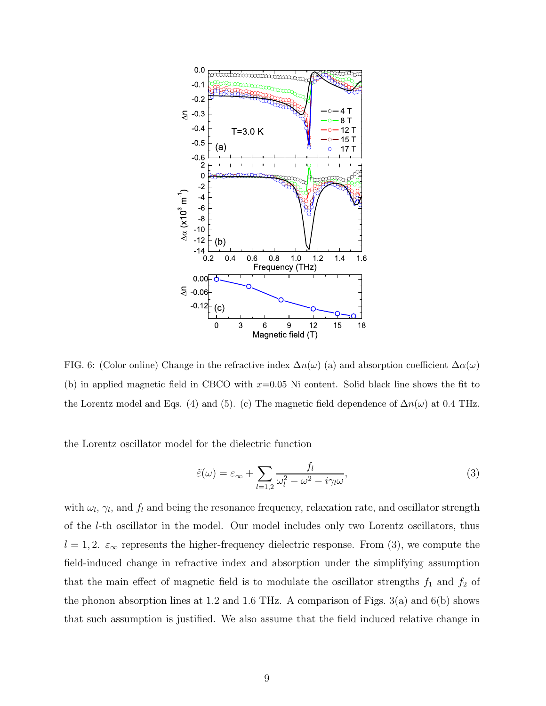

FIG. 6: (Color online) Change in the refractive index  $\Delta n(\omega)$  (a) and absorption coefficient  $\Delta \alpha(\omega)$ (b) in applied magnetic field in CBCO with  $x=0.05$  Ni content. Solid black line shows the fit to the Lorentz model and Eqs. (4) and (5). (c) The magnetic field dependence of  $\Delta n(\omega)$  at 0.4 THz.

the Lorentz oscillator model for the dielectric function

$$
\tilde{\varepsilon}(\omega) = \varepsilon_{\infty} + \sum_{l=1,2} \frac{f_l}{\omega_l^2 - \omega^2 - i\gamma_l \omega},\tag{3}
$$

with  $\omega_l$ ,  $\gamma_l$ , and  $f_l$  and being the resonance frequency, relaxation rate, and oscillator strength of the l-th oscillator in the model. Our model includes only two Lorentz oscillators, thus  $l = 1, 2$ .  $\varepsilon_{\infty}$  represents the higher-frequency dielectric response. From (3), we compute the field-induced change in refractive index and absorption under the simplifying assumption that the main effect of magnetic field is to modulate the oscillator strengths  $f_1$  and  $f_2$  of the phonon absorption lines at 1.2 and 1.6 THz. A comparison of Figs.  $3(a)$  and  $6(b)$  shows that such assumption is justified. We also assume that the field induced relative change in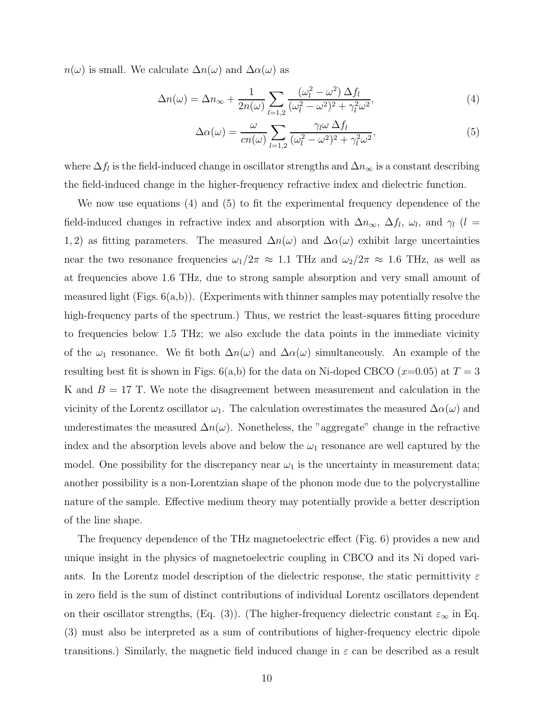$n(\omega)$  is small. We calculate  $\Delta n(\omega)$  and  $\Delta \alpha(\omega)$  as

$$
\Delta n(\omega) = \Delta n_{\infty} + \frac{1}{2n(\omega)} \sum_{l=1,2} \frac{(\omega_l^2 - \omega^2) \Delta f_l}{(\omega_l^2 - \omega^2)^2 + \gamma_l^2 \omega^2},\tag{4}
$$

$$
\Delta \alpha(\omega) = \frac{\omega}{cn(\omega)} \sum_{l=1,2} \frac{\gamma_l \omega \Delta f_l}{(\omega_l^2 - \omega^2)^2 + \gamma_l^2 \omega^2},\tag{5}
$$

where  $\Delta f_l$  is the field-induced change in oscillator strengths and  $\Delta n_{\infty}$  is a constant describing the field-induced change in the higher-frequency refractive index and dielectric function.

We now use equations (4) and (5) to fit the experimental frequency dependence of the field-induced changes in refractive index and absorption with  $\Delta n_{\infty}$ ,  $\Delta f_l$ ,  $\omega_l$ , and  $\gamma_l$  (l = 1, 2) as fitting parameters. The measured  $\Delta n(\omega)$  and  $\Delta \alpha(\omega)$  exhibit large uncertainties near the two resonance frequencies  $\omega_1/2\pi \approx 1.1$  THz and  $\omega_2/2\pi \approx 1.6$  THz, as well as at frequencies above 1.6 THz, due to strong sample absorption and very small amount of measured light (Figs.  $6(a,b)$ ). (Experiments with thinner samples may potentially resolve the high-frequency parts of the spectrum.) Thus, we restrict the least-squares fitting procedure to frequencies below 1.5 THz; we also exclude the data points in the immediate vicinity of the  $\omega_1$  resonance. We fit both  $\Delta n(\omega)$  and  $\Delta \alpha(\omega)$  simultaneously. An example of the resulting best fit is shown in Figs.  $6(a,b)$  for the data on Ni-doped CBCO (x=0.05) at  $T = 3$ K and  $B = 17$  T. We note the disagreement between measurement and calculation in the vicinity of the Lorentz oscillator  $\omega_1$ . The calculation overestimates the measured  $\Delta\alpha(\omega)$  and underestimates the measured  $\Delta n(\omega)$ . Nonetheless, the "aggregate" change in the refractive index and the absorption levels above and below the  $\omega_1$  resonance are well captured by the model. One possibility for the discrepancy near  $\omega_1$  is the uncertainty in measurement data; another possibility is a non-Lorentzian shape of the phonon mode due to the polycrystalline nature of the sample. Effective medium theory may potentially provide a better description of the line shape.

The frequency dependence of the THz magnetoelectric effect (Fig. 6) provides a new and unique insight in the physics of magnetoelectric coupling in CBCO and its Ni doped variants. In the Lorentz model description of the dielectric response, the static permittivity  $\varepsilon$ in zero field is the sum of distinct contributions of individual Lorentz oscillators dependent on their oscillator strengths, (Eq. (3)). (The higher-frequency dielectric constant  $\varepsilon_{\infty}$  in Eq. (3) must also be interpreted as a sum of contributions of higher-frequency electric dipole transitions.) Similarly, the magnetic field induced change in  $\varepsilon$  can be described as a result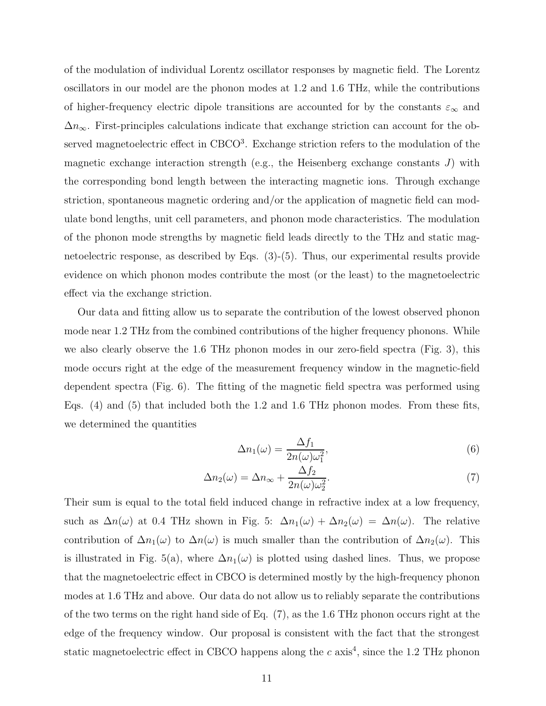of the modulation of individual Lorentz oscillator responses by magnetic field. The Lorentz oscillators in our model are the phonon modes at 1.2 and 1.6 THz, while the contributions of higher-frequency electric dipole transitions are accounted for by the constants  $\varepsilon_{\infty}$  and  $\Delta n_{\infty}$ . First-principles calculations indicate that exchange striction can account for the observed magnetoelectric effect in CBCO<sup>3</sup>. Exchange striction refers to the modulation of the magnetic exchange interaction strength (e.g., the Heisenberg exchange constants  $J$ ) with the corresponding bond length between the interacting magnetic ions. Through exchange striction, spontaneous magnetic ordering and/or the application of magnetic field can modulate bond lengths, unit cell parameters, and phonon mode characteristics. The modulation of the phonon mode strengths by magnetic field leads directly to the THz and static magnetoelectric response, as described by Eqs. (3)-(5). Thus, our experimental results provide evidence on which phonon modes contribute the most (or the least) to the magnetoelectric effect via the exchange striction.

Our data and fitting allow us to separate the contribution of the lowest observed phonon mode near 1.2 THz from the combined contributions of the higher frequency phonons. While we also clearly observe the 1.6 THz phonon modes in our zero-field spectra (Fig. 3), this mode occurs right at the edge of the measurement frequency window in the magnetic-field dependent spectra (Fig. 6). The fitting of the magnetic field spectra was performed using Eqs. (4) and (5) that included both the 1.2 and 1.6 THz phonon modes. From these fits, we determined the quantities

$$
\Delta n_1(\omega) = \frac{\Delta f_1}{2n(\omega)\omega_1^2},\tag{6}
$$

$$
\Delta n_2(\omega) = \Delta n_{\infty} + \frac{\Delta f_2}{2n(\omega)\omega_2^2}.
$$
\n(7)

Their sum is equal to the total field induced change in refractive index at a low frequency, such as  $\Delta n(\omega)$  at 0.4 THz shown in Fig. 5:  $\Delta n_1(\omega) + \Delta n_2(\omega) = \Delta n(\omega)$ . The relative contribution of  $\Delta n_1(\omega)$  to  $\Delta n(\omega)$  is much smaller than the contribution of  $\Delta n_2(\omega)$ . This is illustrated in Fig. 5(a), where  $\Delta n_1(\omega)$  is plotted using dashed lines. Thus, we propose that the magnetoelectric effect in CBCO is determined mostly by the high-frequency phonon modes at 1.6 THz and above. Our data do not allow us to reliably separate the contributions of the two terms on the right hand side of Eq. (7), as the 1.6 THz phonon occurs right at the edge of the frequency window. Our proposal is consistent with the fact that the strongest static magnetoelectric effect in CBCO happens along the  $c$  axis<sup>4</sup>, since the 1.2 THz phonon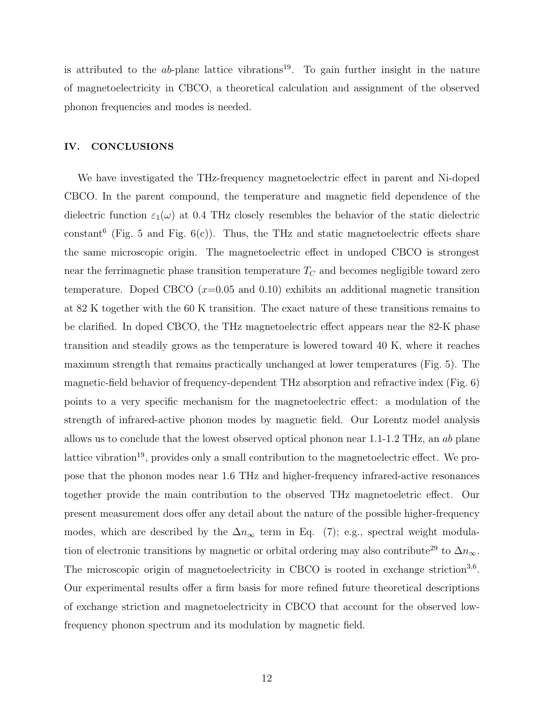is attributed to the *ab*-plane lattice vibrations<sup>19</sup>. To gain further insight in the nature of magnetoelectricity in CBCO, a theoretical calculation and assignment of the observed phonon frequencies and modes is needed.

#### IV. CONCLUSIONS

We have investigated the THz-frequency magnetoelectric effect in parent and Ni-doped CBCO. In the parent compound, the temperature and magnetic field dependence of the dielectric function  $\varepsilon_1(\omega)$  at 0.4 THz closely resembles the behavior of the static dielectric constant<sup>6</sup> (Fig. 5 and Fig.  $6(c)$ ). Thus, the THz and static magnetoelectric effects share the same microscopic origin. The magnetoelectric effect in undoped CBCO is strongest near the ferrimagnetic phase transition temperature  $T_C$  and becomes negligible toward zero temperature. Doped CBCO  $(x=0.05 \text{ and } 0.10)$  exhibits an additional magnetic transition at 82 K together with the 60 K transition. The exact nature of these transitions remains to be clarified. In doped CBCO, the THz magnetoelectric effect appears near the 82-K phase transition and steadily grows as the temperature is lowered toward 40 K, where it reaches maximum strength that remains practically unchanged at lower temperatures (Fig. 5). The magnetic-field behavior of frequency-dependent THz absorption and refractive index (Fig. 6) points to a very specific mechanism for the magnetoelectric effect: a modulation of the strength of infrared-active phonon modes by magnetic field. Our Lorentz model analysis allows us to conclude that the lowest observed optical phonon near 1.1-1.2 THz, an ab plane lattice vibration<sup>19</sup>, provides only a small contribution to the magnetoelectric effect. We propose that the phonon modes near 1.6 THz and higher-frequency infrared-active resonances together provide the main contribution to the observed THz magnetoeletric effect. Our present measurement does offer any detail about the nature of the possible higher-frequency modes, which are described by the  $\Delta n_{\infty}$  term in Eq. (7); e.g., spectral weight modulation of electronic transitions by magnetic or orbital ordering may also contribute<sup>29</sup> to  $\Delta n_{\infty}$ . The microscopic origin of magnetoelectricity in CBCO is rooted in exchange striction<sup>3,6</sup>. Our experimental results offer a firm basis for more refined future theoretical descriptions of exchange striction and magnetoelectricity in CBCO that account for the observed lowfrequency phonon spectrum and its modulation by magnetic field.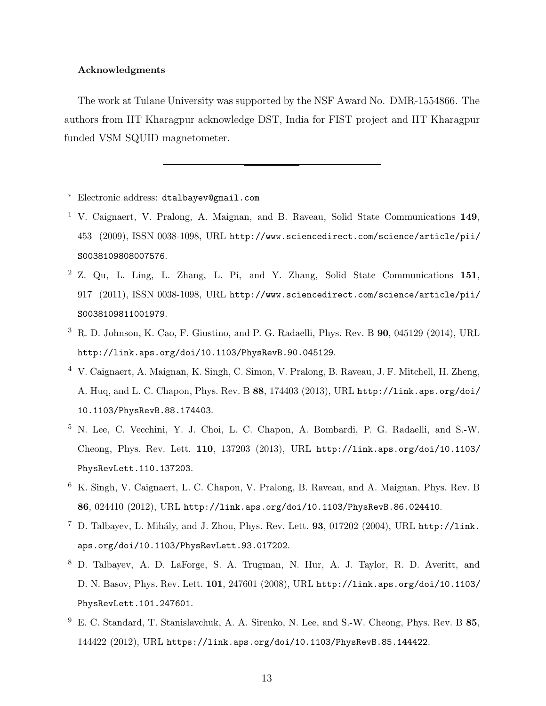#### Acknowledgments

The work at Tulane University was supported by the NSF Award No. DMR-1554866. The authors from IIT Kharagpur acknowledge DST, India for FIST project and IIT Kharagpur funded VSM SQUID magnetometer.

- <sup>∗</sup> Electronic address: dtalbayev@gmail.com
- <sup>1</sup> V. Caignaert, V. Pralong, A. Maignan, and B. Raveau, Solid State Communications 149, 453 (2009), ISSN 0038-1098, URL http://www.sciencedirect.com/science/article/pii/ S0038109808007576.
- <sup>2</sup> Z. Qu, L. Ling, L. Zhang, L. Pi, and Y. Zhang, Solid State Communications 151, 917 (2011), ISSN 0038-1098, URL http://www.sciencedirect.com/science/article/pii/ S0038109811001979.
- <sup>3</sup> R. D. Johnson, K. Cao, F. Giustino, and P. G. Radaelli, Phys. Rev. B 90, 045129 (2014), URL http://link.aps.org/doi/10.1103/PhysRevB.90.045129.
- <sup>4</sup> V. Caignaert, A. Maignan, K. Singh, C. Simon, V. Pralong, B. Raveau, J. F. Mitchell, H. Zheng, A. Huq, and L. C. Chapon, Phys. Rev. B 88, 174403 (2013), URL http://link.aps.org/doi/ 10.1103/PhysRevB.88.174403.
- <sup>5</sup> N. Lee, C. Vecchini, Y. J. Choi, L. C. Chapon, A. Bombardi, P. G. Radaelli, and S.-W. Cheong, Phys. Rev. Lett. 110, 137203 (2013), URL http://link.aps.org/doi/10.1103/ PhysRevLett.110.137203.
- <sup>6</sup> K. Singh, V. Caignaert, L. C. Chapon, V. Pralong, B. Raveau, and A. Maignan, Phys. Rev. B 86, 024410 (2012), URL http://link.aps.org/doi/10.1103/PhysRevB.86.024410.
- $^7$  D. Talbayev, L. Mihály, and J. Zhou, Phys. Rev. Lett. 93, 017202 (2004), URL http://link. aps.org/doi/10.1103/PhysRevLett.93.017202.
- <sup>8</sup> D. Talbayev, A. D. LaForge, S. A. Trugman, N. Hur, A. J. Taylor, R. D. Averitt, and D. N. Basov, Phys. Rev. Lett. 101, 247601 (2008), URL http://link.aps.org/doi/10.1103/ PhysRevLett.101.247601.
- <sup>9</sup> E. C. Standard, T. Stanislavchuk, A. A. Sirenko, N. Lee, and S.-W. Cheong, Phys. Rev. B 85, 144422 (2012), URL https://link.aps.org/doi/10.1103/PhysRevB.85.144422.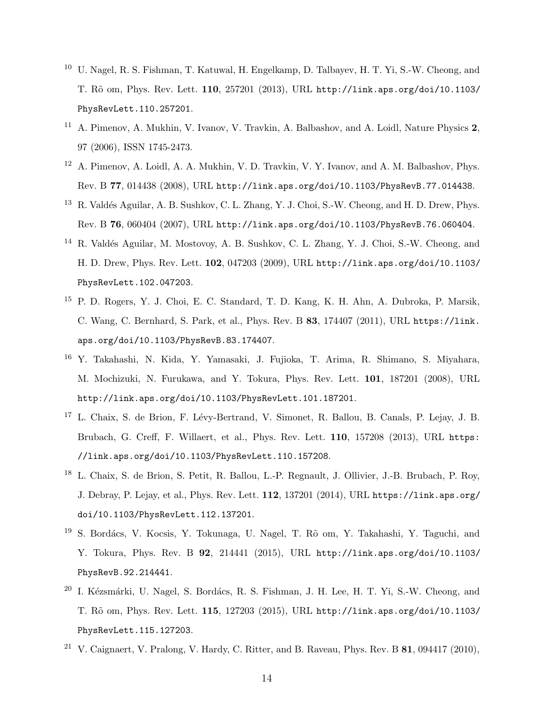- <sup>10</sup> U. Nagel, R. S. Fishman, T. Katuwal, H. Engelkamp, D. Talbayev, H. T. Yi, S.-W. Cheong, and T. R˜o om, Phys. Rev. Lett. 110, 257201 (2013), URL http://link.aps.org/doi/10.1103/ PhysRevLett.110.257201.
- <sup>11</sup> A. Pimenov, A. Mukhin, V. Ivanov, V. Travkin, A. Balbashov, and A. Loidl, Nature Physics 2, 97 (2006), ISSN 1745-2473.
- <sup>12</sup> A. Pimenov, A. Loidl, A. A. Mukhin, V. D. Travkin, V. Y. Ivanov, and A. M. Balbashov, Phys. Rev. B 77, 014438 (2008), URL http://link.aps.org/doi/10.1103/PhysRevB.77.014438.
- <sup>13</sup> R. Valdés Aguilar, A. B. Sushkov, C. L. Zhang, Y. J. Choi, S.-W. Cheong, and H. D. Drew, Phys. Rev. B 76, 060404 (2007), URL http://link.aps.org/doi/10.1103/PhysRevB.76.060404.
- <sup>14</sup> R. Valdés Aguilar, M. Mostovoy, A. B. Sushkov, C. L. Zhang, Y. J. Choi, S.-W. Cheong, and H. D. Drew, Phys. Rev. Lett. 102, 047203 (2009), URL http://link.aps.org/doi/10.1103/ PhysRevLett.102.047203.
- <sup>15</sup> P. D. Rogers, Y. J. Choi, E. C. Standard, T. D. Kang, K. H. Ahn, A. Dubroka, P. Marsik, C. Wang, C. Bernhard, S. Park, et al., Phys. Rev. B 83, 174407 (2011), URL https://link. aps.org/doi/10.1103/PhysRevB.83.174407.
- <sup>16</sup> Y. Takahashi, N. Kida, Y. Yamasaki, J. Fujioka, T. Arima, R. Shimano, S. Miyahara, M. Mochizuki, N. Furukawa, and Y. Tokura, Phys. Rev. Lett. 101, 187201 (2008), URL http://link.aps.org/doi/10.1103/PhysRevLett.101.187201.
- <sup>17</sup> L. Chaix, S. de Brion, F. Lévy-Bertrand, V. Simonet, R. Ballou, B. Canals, P. Lejay, J. B. Brubach, G. Creff, F. Willaert, et al., Phys. Rev. Lett. 110, 157208 (2013), URL https: //link.aps.org/doi/10.1103/PhysRevLett.110.157208.
- <sup>18</sup> L. Chaix, S. de Brion, S. Petit, R. Ballou, L.-P. Regnault, J. Ollivier, J.-B. Brubach, P. Roy, J. Debray, P. Lejay, et al., Phys. Rev. Lett. 112, 137201 (2014), URL https://link.aps.org/ doi/10.1103/PhysRevLett.112.137201.
- <sup>19</sup> S. Bordács, V. Kocsis, Y. Tokunaga, U. Nagel, T. Rõ om, Y. Takahashi, Y. Taguchi, and Y. Tokura, Phys. Rev. B 92, 214441 (2015), URL http://link.aps.org/doi/10.1103/ PhysRevB.92.214441.
- $20$  I. Kézsmárki, U. Nagel, S. Bordács, R. S. Fishman, J. H. Lee, H. T. Yi, S.-W. Cheong, and T. R˜o om, Phys. Rev. Lett. 115, 127203 (2015), URL http://link.aps.org/doi/10.1103/ PhysRevLett.115.127203.
- <sup>21</sup> V. Caignaert, V. Pralong, V. Hardy, C. Ritter, and B. Raveau, Phys. Rev. B  $81, 094417$  (2010),